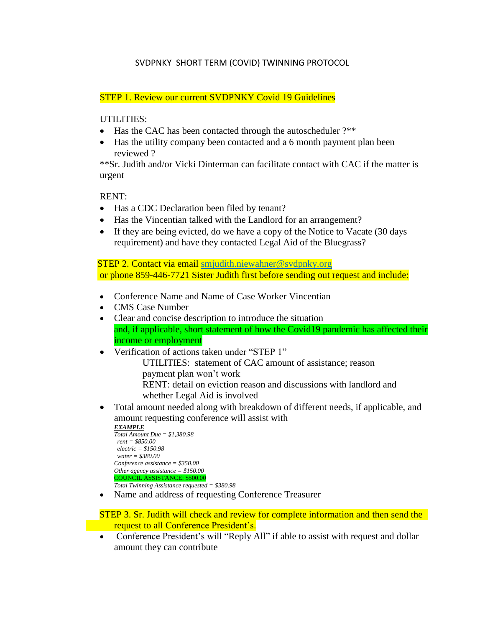## SVDPNKY SHORT TERM (COVID) TWINNING PROTOCOL

## STEP 1. Review our current SVDPNKY Covid 19 Guidelines

## UTILITIES:

- Has the CAC has been contacted through the autoscheduler ?\*\*
- Has the utility company been contacted and a 6 month payment plan been reviewed ?

\*\*Sr. Judith and/or Vicki Dinterman can facilitate contact with CAC if the matter is urgent

RENT:

- Has a CDC Declaration been filed by tenant?
- Has the Vincentian talked with the Landlord for an arrangement?
- If they are being evicted, do we have a copy of the Notice to Vacate (30 days requirement) and have they contacted Legal Aid of the Bluegrass?

 STEP 2. Contact via email [smjudith.niewahner@svdpnky.org](mailto:smjudith.niewahner@svdpnky.org) or phone 859-446-7721 Sister Judith first before sending out request and include:

- Conference Name and Name of Case Worker Vincentian
- CMS Case Number
- Clear and concise description to introduce the situation and, if applicable, short statement of how the Covid19 pandemic has affected their income or employment
- Verification of actions taken under "STEP 1"

UTILITIES: statement of CAC amount of assistance; reason payment plan won't work RENT: detail on eviction reason and discussions with landlord and whether Legal Aid is involved

 Total amount needed along with breakdown of different needs, if applicable, and amount requesting conference will assist with

```
EXAMPLE
Total Amount Due = $1,380.98
rent = $850.00
  electric = $150.98
 water = $380.00
Conference assistance = $350.00
Other agency assistance = $150.00
COUNCIL ASSISTANCE: $500.00
Total Twinning Assistance requested = $380.98
```
Name and address of requesting Conference Treasurer

 STEP 3. Sr. Judith will check and review for complete information and then send the request to all Conference President's.

• Conference President's will "Reply All" if able to assist with request and dollar amount they can contribute